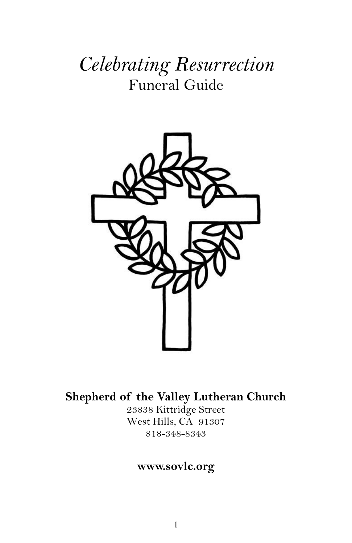# *Celebrating Resurrection* Funeral Guide



# **Shepherd of the Valley Lutheran Church**

23838 Kittridge Street West Hills, CA 91307 818-348-8343

### **www.sovlc.org**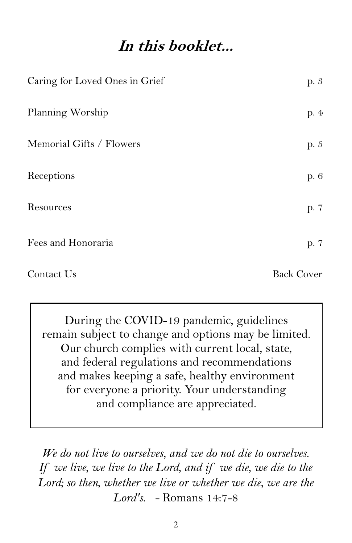# **In this booklet...**

| Caring for Loved Ones in Grief | p. 3              |
|--------------------------------|-------------------|
| Planning Worship               | p. 4              |
| Memorial Gifts / Flowers       | p. 5              |
| Receptions                     | p. 6              |
| Resources                      | p. 7              |
| Fees and Honoraria             | p. 7              |
| Contact Us                     | <b>Back Cover</b> |

During the COVID-19 pandemic, guidelines remain subject to change and options may be limited. Our church complies with current local, state, and federal regulations and recommendations and makes keeping a safe, healthy environment for everyone a priority. Your understanding and compliance are appreciated.

*We do not live to ourselves, and we do not die to ourselves. If we live, we live to the Lord, and if we die, we die to the Lord; so then, whether we live or whether we die, we are the Lord's. -* Romans 14:7-8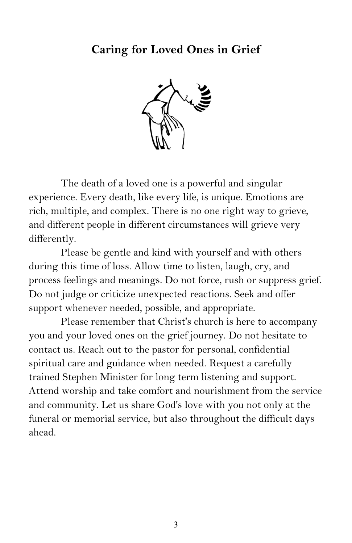# **Caring for Loved Ones in Grief**



The death of a loved one is a powerful and singular experience. Every death, like every life, is unique. Emotions are rich, multiple, and complex. There is no one right way to grieve, and different people in different circumstances will grieve very differently.

Please be gentle and kind with yourself and with others during this time of loss. Allow time to listen, laugh, cry, and process feelings and meanings. Do not force, rush or suppress grief. Do not judge or criticize unexpected reactions. Seek and offer support whenever needed, possible, and appropriate.

Please remember that Christ's church is here to accompany you and your loved ones on the grief journey. Do not hesitate to contact us. Reach out to the pastor for personal, confidential spiritual care and guidance when needed. Request a carefully trained Stephen Minister for long term listening and support. Attend worship and take comfort and nourishment from the service and community. Let us share God's love with you not only at the funeral or memorial service, but also throughout the difficult days ahead.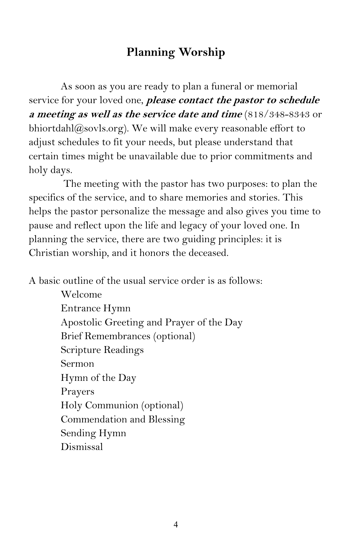# **Planning Worship**

As soon as you are ready to plan a funeral or memorial service for your loved one, **please contact the pastor to schedule a meeting as well as the service date and time** (818/348-8343 or bhiortdahl $@$ sovls.org). We will make every reasonable effort to adjust schedules to fit your needs, but please understand that certain times might be unavailable due to prior commitments and holy days.

The meeting with the pastor has two purposes: to plan the specifics of the service, and to share memories and stories. This helps the pastor personalize the message and also gives you time to pause and reflect upon the life and legacy of your loved one. In planning the service, there are two guiding principles: it is Christian worship, and it honors the deceased.

A basic outline of the usual service order is as follows:

Welcome Entrance Hymn Apostolic Greeting and Prayer of the Day Brief Remembrances (optional) Scripture Readings Sermon Hymn of the Day Prayers Holy Communion (optional) Commendation and Blessing Sending Hymn Dismissal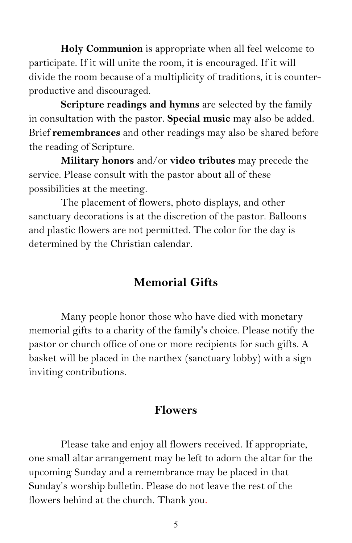**Holy Communion** is appropriate when all feel welcome to participate. If it will unite the room, it is encouraged. If it will divide the room because of a multiplicity of traditions, it is counterproductive and discouraged.

**Scripture readings and hymns** are selected by the family in consultation with the pastor. **Special music** may also be added. Brief **remembrances** and other readings may also be shared before the reading of Scripture.

**Military honors** and/or **video tributes** may precede the service. Please consult with the pastor about all of these possibilities at the meeting.

The placement of flowers, photo displays, and other sanctuary decorations is at the discretion of the pastor. Balloons and plastic flowers are not permitted. The color for the day is determined by the Christian calendar.

# **Memorial Gifts**

Many people honor those who have died with monetary memorial gifts to a charity of the family's choice. Please notify the pastor or church office of one or more recipients for such gifts. A basket will be placed in the narthex (sanctuary lobby) with a sign inviting contributions.

#### **Flowers**

Please take and enjoy all flowers received. If appropriate, one small altar arrangement may be left to adorn the altar for the upcoming Sunday and a remembrance may be placed in that Sunday's worship bulletin. Please do not leave the rest of the flowers behind at the church. Thank you.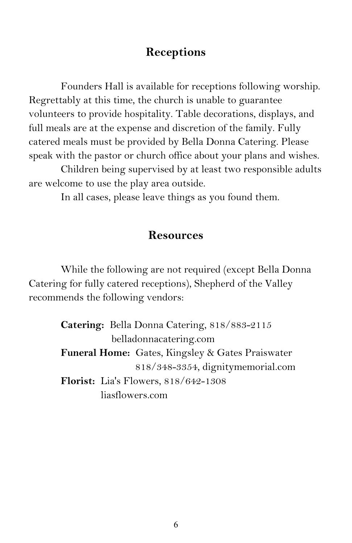# **Receptions**

Founders Hall is available for receptions following worship. Regrettably at this time, the church is unable to guarantee volunteers to provide hospitality. Table decorations, displays, and full meals are at the expense and discretion of the family. Fully catered meals must be provided by Bella Donna Catering. Please speak with the pastor or church office about your plans and wishes.

Children being supervised by at least two responsible adults are welcome to use the play area outside.

In all cases, please leave things as you found them.

#### **Resources**

While the following are not required (except Bella Donna Catering for fully catered receptions), Shepherd of the Valley recommends the following vendors:

> **Catering:** Bella Donna Catering, 818/883-2115 belladonnacatering.com **Funeral Home:** Gates, Kingsley & Gates Praiswater 818/348-3354, dignitymemorial.com **Florist:** Lia's Flowers, 818/642-1308 liasflowers.com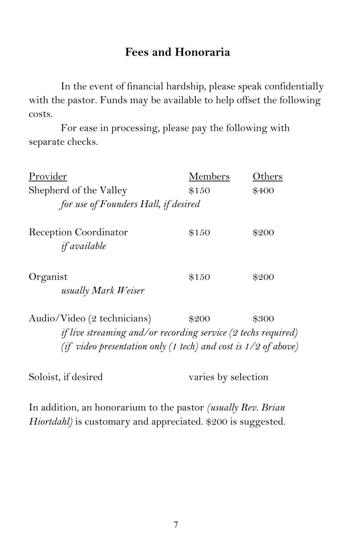### **Fees and Honoraria**

In the event of financial hardship, please speak confidentially with the pastor. Funds may be available to help offset the following costs.

For ease in processing, please pay the following with separate checks.

| Provider                                                                                     | Members | Others |
|----------------------------------------------------------------------------------------------|---------|--------|
| Shepherd of the Valley                                                                       | \$150   | \$400  |
| for use of Founders Hall, if desired                                                         |         |        |
| Reception Coordinator<br><i>if available</i>                                                 | \$150   | \$200  |
| Organist<br>usually Mark Weiser                                                              | \$150   | \$200  |
| Audio/Video (2 technicians)<br>if live streaming and/or recording service (2 techs required) | \$200   | \$300  |

*(if video presentation only (1 tech) and cost is 1/2 of above)*

Soloist, if desired varies by selection

In addition, an honorarium to the pastor *(usually Rev. Brian Hiortdahl*) is customary and appreciated. \$200 is suggested.